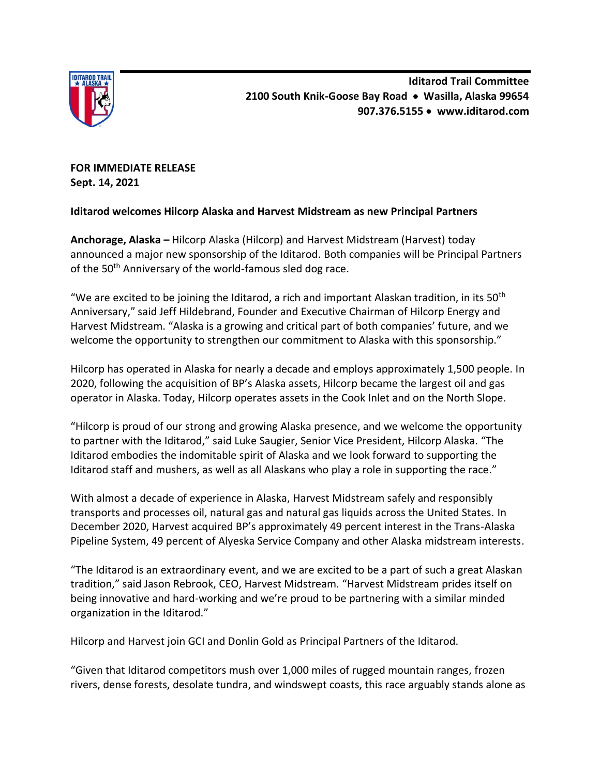

**FOR IMMEDIATE RELEASE Sept. 14, 2021**

# **Iditarod welcomes Hilcorp Alaska and Harvest Midstream as new Principal Partners**

**Anchorage, Alaska –** Hilcorp Alaska (Hilcorp) and Harvest Midstream (Harvest) today announced a major new sponsorship of the Iditarod. Both companies will be Principal Partners of the 50<sup>th</sup> Anniversary of the world-famous sled dog race.

"We are excited to be joining the Iditarod, a rich and important Alaskan tradition, in its 50<sup>th</sup> Anniversary," said Jeff Hildebrand, Founder and Executive Chairman of Hilcorp Energy and Harvest Midstream. "Alaska is a growing and critical part of both companies' future, and we welcome the opportunity to strengthen our commitment to Alaska with this sponsorship."

Hilcorp has operated in Alaska for nearly a decade and employs approximately 1,500 people. In 2020, following the acquisition of BP's Alaska assets, Hilcorp became the largest oil and gas operator in Alaska. Today, Hilcorp operates assets in the Cook Inlet and on the North Slope.

"Hilcorp is proud of our strong and growing Alaska presence, and we welcome the opportunity to partner with the Iditarod," said Luke Saugier, Senior Vice President, Hilcorp Alaska. "The Iditarod embodies the indomitable spirit of Alaska and we look forward to supporting the Iditarod staff and mushers, as well as all Alaskans who play a role in supporting the race."

With almost a decade of experience in Alaska, Harvest Midstream safely and responsibly transports and processes oil, natural gas and natural gas liquids across the United States. In December 2020, Harvest acquired BP's approximately 49 percent interest in the Trans-Alaska Pipeline System, 49 percent of Alyeska Service Company and other Alaska midstream interests.

"The Iditarod is an extraordinary event, and we are excited to be a part of such a great Alaskan tradition," said Jason Rebrook, CEO, Harvest Midstream. "Harvest Midstream prides itself on being innovative and hard-working and we're proud to be partnering with a similar minded organization in the Iditarod."

Hilcorp and Harvest join GCI and Donlin Gold as Principal Partners of the Iditarod.

"Given that Iditarod competitors mush over 1,000 miles of rugged mountain ranges, frozen rivers, dense forests, desolate tundra, and windswept coasts, this race arguably stands alone as